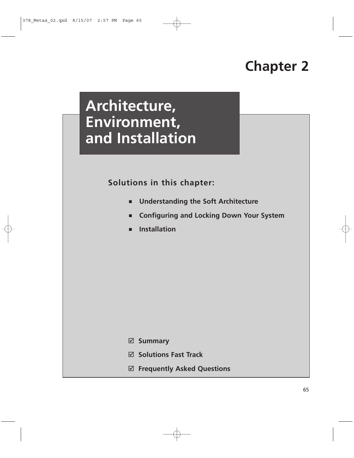# **Chapter 2**

# **Architecture, Environment, and Installation**

**Solutions in this chapter:**

- **Understanding the Soft Architecture**
- **Configuring and Locking Down Your System**
- **Installation**

- **Summary**
- **Solutions Fast Track**
- **Frequently Asked Questions**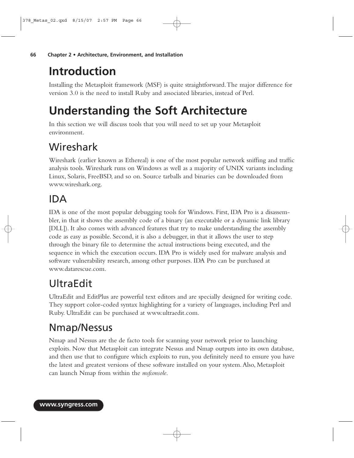## **Introduction**

Installing the Metasploit framework (MSF) is quite straightforward.The major difference for version 3.0 is the need to install Ruby and associated libraries, instead of Perl.

## **Understanding the Soft Architecture**

In this section we will discuss tools that you will need to set up your Metasploit environment.

## Wireshark

Wireshark (earlier known as Ethereal) is one of the most popular network sniffing and traffic analysis tools. Wireshark runs on Windows as well as a majority of UNIX variants including Linux, Solaris, FreeBSD, and so on. Source tarballs and binaries can be downloaded from www.wireshark.org.

## IDA

IDA is one of the most popular debugging tools for Windows. First, IDA Pro is a disassembler, in that it shows the assembly code of a binary (an executable or a dynamic link library [DLL]). It also comes with advanced features that try to make understanding the assembly code as easy as possible. Second, it is also a debugger, in that it allows the user to step through the binary file to determine the actual instructions being executed, and the sequence in which the execution occurs. IDA Pro is widely used for malware analysis and software vulnerability research, among other purposes. IDA Pro can be purchased at www.datarescue.com.

## UltraEdit

UltraEdit and EditPlus are powerful text editors and are specially designed for writing code. They support color-coded syntax highlighting for a variety of languages, including Perl and Ruby. UltraEdit can be purchased at www.ultraedit.com.

## Nmap/Nessus

Nmap and Nessus are the de facto tools for scanning your network prior to launching exploits. Now that Metasploit can integrate Nessus and Nmap outputs into its own database, and then use that to configure which exploits to run, you definitely need to ensure you have the latest and greatest versions of these software installed on your system.Also, Metasploit can launch Nmap from within the *msfconsole*.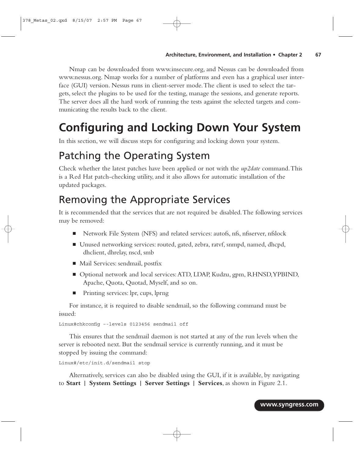Nmap can be downloaded from www.insecure.org, and Nessus can be downloaded from www.nessus.org. Nmap works for a number of platforms and even has a graphical user interface (GUI) version. Nessus runs in client-server mode.The client is used to select the targets, select the plugins to be used for the testing, manage the sessions, and generate reports. The server does all the hard work of running the tests against the selected targets and communicating the results back to the client.

## **Configuring and Locking Down Your System**

In this section, we will discuss steps for configuring and locking down your system.

### Patching the Operating System

Check whether the latest patches have been applied or not with the *up2date* command.This is a Red Hat patch-checking utility, and it also allows for automatic installation of the updated packages.

### Removing the Appropriate Services

It is recommended that the services that are not required be disabled.The following services may be removed:

- Network File System (NFS) and related services: autofs, nfs, nfsserver, nfslock
- Unused networking services: routed, gated, zebra, ratvf, snmpd, named, dhcpd, dhclient, dhrelay, nscd, smb
- Mail Services: sendmail, postfix
- Optional network and local services: ATD, LDAP, Kudzu, gpm, RHNSD, YPBIND, Apache, Quota, Quotad, Myself, and so on.
- Printing services: lpr, cups, lprng

For instance, it is required to disable sendmail, so the following command must be issued:

```
Linux#chkconfig –-levels 0123456 sendmail off
```
This ensures that the sendmail daemon is not started at any of the run levels when the server is rebooted next. But the sendmail service is currently running, and it must be stopped by issuing the command:

```
Linux#/etc/init.d/sendmail stop
```
Alternatively, services can also be disabled using the GUI, if it is available, by navigating to **Start | System Settings | Server Settings | Services**, as shown in Figure 2.1.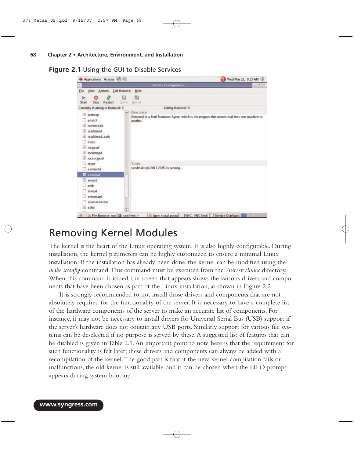**Figure 2.1** Using the GUI to Disable Services



### Removing Kernel Modules

The kernel is the heart of the Linux operating system. It is also highly configurable. During installation, the kernel parameters can be highly customized to ensure a minimal Linux installation. If the installation has already been done, the kernel can be modified using the *make xconfig* command.This command must be executed from the */usr/src/linux* directory. When this command is issued, the screen that appears shows the various drivers and components that have been chosen as part of the Linux installation, as shown in Figure 2.2.

It is strongly recommended to not install those drivers and components that are not absolutely required for the functionality of the server. It is necessary to have a complete list of the hardware components of the server to make an accurate list of components. For instance, it may not be necessary to install drivers for Universal Serial Bus (USB) support if the server's hardware does not contain any USB ports. Similarly, support for various file systems can be deselected if no purpose is served by these.A suggested list of features that can be disabled is given in Table 2.1.An important point to note here is that the requirement for such functionality is felt later; these drivers and components can always be added with a recompilation of the kernel.The good part is that if the new kernel compilation fails or malfunctions, the old kernel is still available, and it can be chosen when the LILO prompt appears during system boot-up.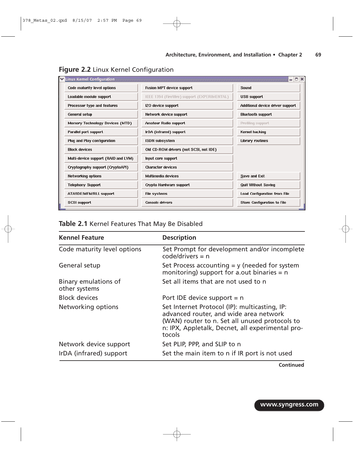#### **Figure 2.2** Linux Kernel Configuration

| Code maturity level options            | <b>Fusion MPT device support</b>            | Sound                               |
|----------------------------------------|---------------------------------------------|-------------------------------------|
| Loadable module support                | IEEE 1394 (FireWire) support (EXPERIMENTAL) | <b>USB</b> support                  |
| Processor type and features            | I2O device support                          | Additional device driver support    |
| <b>General setup</b>                   | Network device support                      | <b>Bluetooth support</b>            |
| <b>Memory Technology Devices (MTD)</b> | <b>Amateur Radio support</b>                | Profiling support                   |
| Parallel port support                  | IrDA (infrared) support                     | Kernel hacking                      |
| <b>Plug and Play configuration</b>     | ISDN subsystem                              | <b>Library routines</b>             |
| <b>Block devices</b>                   | Old CD-ROM drivers (not SCSI, not IDE)      |                                     |
| Multi-device support (RAID and LVM)    | Input core support                          |                                     |
| Cryptography support (CryptoAPI)       | <b>Character devices</b>                    |                                     |
| <b>Networking options</b>              | <b>Multimedia devices</b>                   | Save and Exit                       |
| <b>Telephony Support</b>               | Crypto Hardware support                     | <b>Quit Without Saving</b>          |
| ATA/IDE/MFM/RLL support                | File systems                                | <b>Load Configuration from File</b> |
| <b>SCSI</b> support                    | <b>Console drivers</b>                      | <b>Store Configuration to File</b>  |

#### **Table 2.1** Kernel Features That May Be Disabled

| <b>Kennel Feature</b>                 | <b>Description</b>                                                                                                                                                                                      |
|---------------------------------------|---------------------------------------------------------------------------------------------------------------------------------------------------------------------------------------------------------|
| Code maturity level options           | Set Prompt for development and/or incomplete<br>$code/drivers = n$                                                                                                                                      |
| General setup                         | Set Process accounting $= y$ (needed for system<br>monitoring) support for a out binaries $= n$                                                                                                         |
| Binary emulations of<br>other systems | Set all items that are not used to n                                                                                                                                                                    |
| <b>Block devices</b>                  | Port IDE device support $= n$                                                                                                                                                                           |
| Networking options                    | Set Internet Protocol (IP): multicasting, IP:<br>advanced router, and wide area network<br>(WAN) router to n. Set all unused protocols to<br>n: IPX, Appletalk, Decnet, all experimental pro-<br>tocols |
| Network device support                | Set PLIP, PPP, and SLIP to n                                                                                                                                                                            |
| IrDA (infrared) support               | Set the main item to n if IR port is not used                                                                                                                                                           |

**Continued**

**www.syngress.com**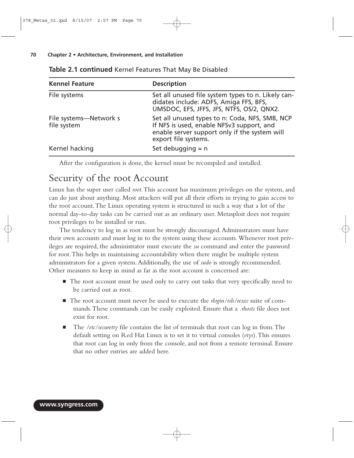| <b>Kennel Feature</b>                 | <b>Description</b>                                                                                                                                                   |
|---------------------------------------|----------------------------------------------------------------------------------------------------------------------------------------------------------------------|
| File systems                          | Set all unused file system types to n. Likely can-<br>didates include: ADFS, Amiga FFS, BFS,<br>UMSDOC, EFS, JFFS, JFS, NTFS, OS/2, QNX2.                            |
| File systems-Network s<br>file system | Set all unused types to n: Coda, NFS, SMB, NCP<br>If NFS is used, enable NFSv3 support, and<br>enable server support only if the system will<br>export file systems. |
| Kernel hacking                        | Set debugging $= n$                                                                                                                                                  |

#### **Table 2.1 continued** Kernel Features That May Be Disabled

After the configuration is done, the kernel must be recompiled and installed.

#### Security of the root Account

Linux has the super user called *root*.This account has maximum privileges on the system, and can do just about anything. Most attackers will put all their efforts in trying to gain access to the root account.The Linux operating system is structured in such a way that a lot of the normal day-to-day tasks can be carried out as an ordinary user. Metasploit does not require root privileges to be installed or run.

The tendency to log in as root must be strongly discouraged.Administrators must have their own accounts and must log in to the system using these accounts. Whenever root privileges are required, the administrator must execute the *su* command and enter the password for root.This helps in maintaining accountability when there might be multiple system administrators for a given system.Additionally, the use of *sudo* is strongly recommended. Other measures to keep in mind as far as the root account is concerned are:

- The root account must be used only to carry out tasks that very specifically need to be carried out as root.
- The root account must never be used to execute the *rlogin/rsh/rexec* suite of commands.These commands can be easily exploited. Ensure that a *.rhosts* file does not exist for root.
- The */etc/securetty* file contains the list of terminals that root can log in from. The default setting on Red Hat Linux is to set it to virtual consoles (*vtys*).This ensures that root can log in only from the console, and not from a remote terminal. Ensure that no other entries are added here.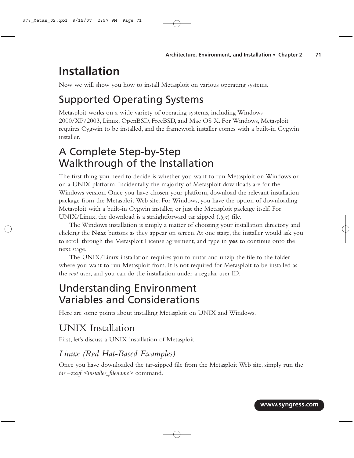## **Installation**

Now we will show you how to install Metasploit on various operating systems.

### Supported Operating Systems

Metasploit works on a wide variety of operating systems, including Windows 2000/XP/2003, Linux, OpenBSD, FreeBSD, and Mac OS X. For Windows, Metasploit requires Cygwin to be installed, and the framework installer comes with a built-in Cygwin installer.

### A Complete Step-by-Step Walkthrough of the Installation

The first thing you need to decide is whether you want to run Metasploit on Windows or on a UNIX platform. Incidentally, the majority of Metasploit downloads are for the Windows version. Once you have chosen your platform, download the relevant installation package from the Metasploit Web site. For Windows, you have the option of downloading Metasploit with a built-in Cygwin installer, or just the Metasploit package itself. For UNIX/Linux, the download is a straightforward tar zipped (.*tgz*) file.

The Windows installation is simply a matter of choosing your installation directory and clicking the **Next** buttons as they appear on screen.At one stage, the installer would ask you to scroll through the Metasploit License agreement, and type in **yes** to continue onto the next stage.

The UNIX/Linux installation requires you to untar and unzip the file to the folder where you want to run Metasploit from. It is not required for Metasploit to be installed as the *root* user, and you can do the installation under a regular user ID.

### Understanding Environment Variables and Considerations

Here are some points about installing Metasploit on UNIX and Windows.

#### UNIX Installation

First, let's discuss a UNIX installation of Metasploit.

#### *Linux (Red Hat-Based Examples)*

Once you have downloaded the tar-zipped file from the Metasploit Web site, simply run the *tar –zxvf <installer\_filename>* command.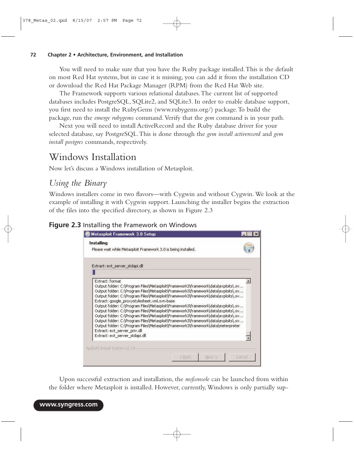You will need to make sure that you have the Ruby package installed.This is the default on most Red Hat systems, but in case it is missing, you can add it from the installation CD or download the Red Hat Package Manager (RPM) from the Red Hat Web site.

The Framework supports various relational databases.The current list of supported databases includes PostgreSQL, SQLite2, and SQLite3. In order to enable database support, you first need to install the RubyGems (www.rubygems.org/) package.To build the package, run the *emerge rubygems* command. Verify that the *gem* command is in your path.

Next you will need to install ActiveRecord and the Ruby database driver for your selected database, say PostgreSQL.This is done through the *gem install activerecord* and *gem install postgres* commands, respectively.

#### Windows Installation

Now let's discuss a Windows installation of Metasploit.

#### *Using the Binary*

Windows installers come in two flavors—with Cygwin and without Cygwin. We look at the example of installing it with Cygwin support. Launching the installer begins the extraction of the files into the specified directory, as shown in Figure 2.3

#### **Figure 2.3** Installing the Framework on Windows

| Installing                                                                                                                                          |                                                                                                                                                                                                                                                                                                                                                                                                                                       |  |
|-----------------------------------------------------------------------------------------------------------------------------------------------------|---------------------------------------------------------------------------------------------------------------------------------------------------------------------------------------------------------------------------------------------------------------------------------------------------------------------------------------------------------------------------------------------------------------------------------------|--|
| Please wait while Metasploit Framework 3.0 is being installed.                                                                                      |                                                                                                                                                                                                                                                                                                                                                                                                                                       |  |
| Extract: ext server stdapi.dll                                                                                                                      |                                                                                                                                                                                                                                                                                                                                                                                                                                       |  |
|                                                                                                                                                     |                                                                                                                                                                                                                                                                                                                                                                                                                                       |  |
| Extract: format<br>Extract: google_proxystylesheet.xml.svn-base                                                                                     | Output folder: C:\Program Files\Metasploit\Framework3\framework\data\exploits\.sv<br>Output folder: C:\Program Files\Metasploit\Framework3\framework\data\exploits\.sv<br>Output folder: C:\Program Files\Metasploit\Framework3\framework\data\exploits\.sv<br>Output folder: C:\Program Files\Metasploit\Framework3\framework\data\exploits\.sv<br>Output folder: C:\Program Files\Metasploit\Framework3\framework\data\exploits\.sv |  |
| Output folder: C:\Program Files\Metasploit\Framework3\framework\data\exploits\.sv<br>Extract: ext_server_priv.dll<br>Extract: ext_server_stdapi.dll | Output folder: C:\Program Files\Metasploit\Framework3\framework\data\exploits\.sv<br>Output folder: C:\Program Files\Metasploit\Framework3\framework\data\meterpreter                                                                                                                                                                                                                                                                 |  |
| Nullsoft Install System v2.18                                                                                                                       |                                                                                                                                                                                                                                                                                                                                                                                                                                       |  |

Upon successful extraction and installation, the *msfconsole* can be launched from within the folder where Metasploit is installed. However, currently, Windows is only partially sup-

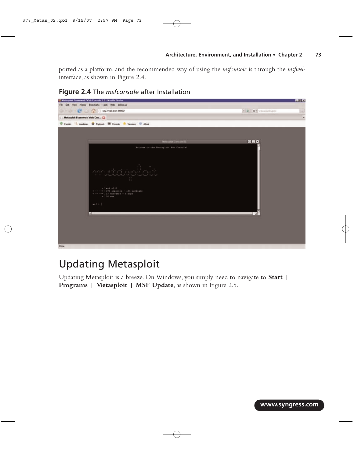ported as a platform, and the recommended way of using the *msfconsole* is through the *msfweb* interface, as shown in Figure 2.4.





### Updating Metasploit

Updating Metasploit is a breeze. On Windows, you simply need to navigate to **Start | Programs | Metasploit | MSF Update**, as shown in Figure 2.5.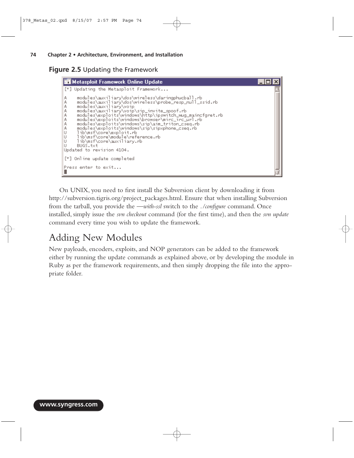**Figure 2.5** Updating the Framework



On UNIX, you need to first install the Subversion client by downloading it from http://subversion.tigris.org/project\_packages.html. Ensure that when installing Subversion from the tarball, you provide the *—with-ssl* switch to the *./configure* command. Once installed, simply issue the *svn checkout* command (for the first time), and then the *svn update* command every time you wish to update the framework.

### Adding New Modules

New payloads, encoders, exploits, and NOP generators can be added to the framework either by running the update commands as explained above, or by developing the module in Ruby as per the framework requirements, and then simply dropping the file into the appropriate folder.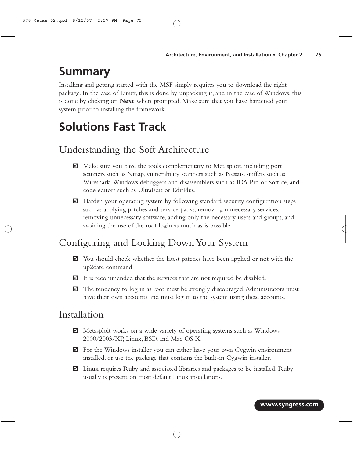## **Summary**

Installing and getting started with the MSF simply requires you to download the right package. In the case of Linux, this is done by unpacking it, and in the case of Windows, this is done by clicking on **Next** when prompted. Make sure that you have hardened your system prior to installing the framework.

## **Solutions Fast Track**

#### Understanding the Soft Architecture

- $\boxtimes$  Make sure you have the tools complementary to Metasploit, including port scanners such as Nmap, vulnerability scanners such as Nessus, sniffers such as Wireshark, Windows debuggers and disassemblers such as IDA Pro or SoftIce, and code editors such as UltraEdit or EditPlus.
- $\boxtimes$  Harden your operating system by following standard security configuration steps such as applying patches and service packs, removing unnecessary services, removing unnecessary software, adding only the necessary users and groups, and avoiding the use of the root login as much as is possible.

### Configuring and Locking Down Your System

- You should check whether the latest patches have been applied or not with the up2date command.
- $\boxtimes$  It is recommended that the services that are not required be disabled.
- $\boxtimes$  The tendency to log in as root must be strongly discouraged. Administrators must have their own accounts and must log in to the system using these accounts.

#### Installation

- $\boxtimes$  Metasploit works on a wide variety of operating systems such as Windows 2000/2003/XP, Linux, BSD, and Mac OS X.
- $\boxtimes$  For the Windows installer you can either have your own Cygwin environment installed, or use the package that contains the built-in Cygwin installer.
- Linux requires Ruby and associated libraries and packages to be installed. Ruby usually is present on most default Linux installations.